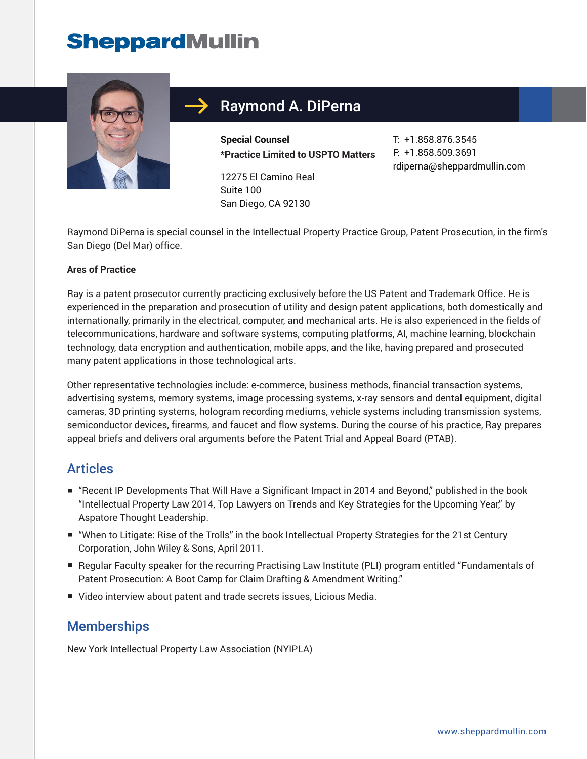# **SheppardMullin**



# Raymond A. DiPerna

**Special Counsel \*Practice Limited to USPTO Matters**

12275 El Camino Real Suite 100 San Diego, CA 92130

T: +1.858.876.3545 F: +1.858.509.3691 rdiperna@sheppardmullin.com

Raymond DiPerna is special counsel in the Intellectual Property Practice Group, Patent Prosecution, in the firm's San Diego (Del Mar) office.

#### **Ares of Practice**

Ray is a patent prosecutor currently practicing exclusively before the US Patent and Trademark Office. He is experienced in the preparation and prosecution of utility and design patent applications, both domestically and internationally, primarily in the electrical, computer, and mechanical arts. He is also experienced in the fields of telecommunications, hardware and software systems, computing platforms, AI, machine learning, blockchain technology, data encryption and authentication, mobile apps, and the like, having prepared and prosecuted many patent applications in those technological arts.

Other representative technologies include: e-commerce, business methods, financial transaction systems, advertising systems, memory systems, image processing systems, x-ray sensors and dental equipment, digital cameras, 3D printing systems, hologram recording mediums, vehicle systems including transmission systems, semiconductor devices, firearms, and faucet and flow systems. During the course of his practice, Ray prepares appeal briefs and delivers oral arguments before the Patent Trial and Appeal Board (PTAB).

#### **Articles**

- "Recent IP Developments That Will Have a Significant Impact in 2014 and Beyond," published in the book "Intellectual Property Law 2014, Top Lawyers on Trends and Key Strategies for the Upcoming Year," by Aspatore Thought Leadership.
- "When to Litigate: Rise of the Trolls" in the book Intellectual Property Strategies for the 21st Century Corporation, John Wiley & Sons, April 2011.
- Regular Faculty speaker for the recurring Practising Law Institute (PLI) program entitled "Fundamentals of Patent Prosecution: A Boot Camp for Claim Drafting & Amendment Writing."
- Video interview about patent and trade secrets issues, Licious Media.

#### **Memberships**

New York Intellectual Property Law Association (NYIPLA)